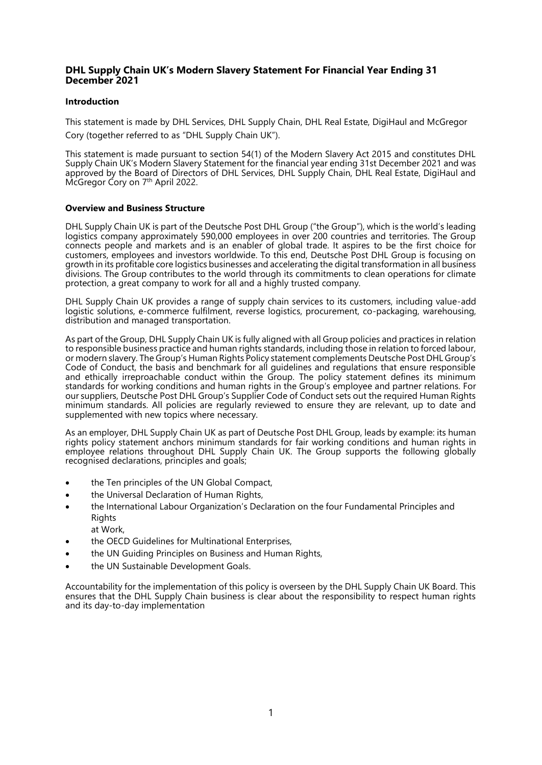# **DHL Supply Chain UK's Modern Slavery Statement For Financial Year Ending 31 December 2021**

## **Introduction**

This statement is made by DHL Services, DHL Supply Chain, DHL Real Estate, DigiHaul and McGregor Cory (together referred to as "DHL Supply Chain UK").

This statement is made pursuant to section 54(1) of the Modern Slavery Act 2015 and constitutes DHL Supply Chain UK's Modern Slavery Statement for the financial year ending 31st December 2021 and was approved by the Board of Directors of DHL Services, DHL Supply Chain, DHL Real Estate, DigiHaul and McGregor Cory on 7<sup>th</sup> April 2022.

#### **Overview and Business Structure**

DHL Supply Chain UK is part of the Deutsche Post DHL Group ("the Group"), which is the world's leading logistics company approximately 590,000 employees in over 200 countries and territories. The Group connects people and markets and is an enabler of global trade. It aspires to be the first choice for customers, employees and investors worldwide. To this end, Deutsche Post DHL Group is focusing on growth in its profitable core logistics businesses and accelerating the digital transformation in all business divisions. The Group contributes to the world through its commitments to clean operations for climate protection, a great company to work for all and a highly trusted company.

DHL Supply Chain UK provides a range of supply chain services to its customers, including value-add logistic solutions, e-commerce fulfilment, reverse logistics, procurement, co-packaging, warehousing, distribution and managed transportation.

As part of the Group, DHL Supply Chain UK is fully aligned with all Group policies and practices in relation to responsible business practice and human rights standards, including those in relation to forced labour, or modern slavery. The Group's Human Rights Policy statement complements Deutsche Post DHL Group's Code of Conduct, the basis and benchmark for all guidelines and regulations that ensure responsible and ethically irreproachable conduct within the Group. The policy statement defines its minimum standards for working conditions and human rights in the Group's employee and partner relations. For our suppliers, Deutsche Post DHL Group's Supplier Code of Conduct sets out the required Human Rights minimum standards. All policies are regularly reviewed to ensure they are relevant, up to date and supplemented with new topics where necessary.

As an employer, DHL Supply Chain UK as part of Deutsche Post DHL Group, leads by example: its human rights policy statement anchors minimum standards for fair working conditions and human rights in employee relations throughout DHL Supply Chain UK. The Group supports the following globally recognised declarations, principles and goals;

- the Ten principles of the UN Global Compact,
- the Universal Declaration of Human Rights,
- the International Labour Organization's Declaration on the four Fundamental Principles and Rights
	- at Work,
- the OECD Guidelines for Multinational Enterprises,
- the UN Guiding Principles on Business and Human Rights,
- the UN Sustainable Development Goals.

Accountability for the implementation of this policy is overseen by the DHL Supply Chain UK Board. This ensures that the DHL Supply Chain business is clear about the responsibility to respect human rights and its day-to-day implementation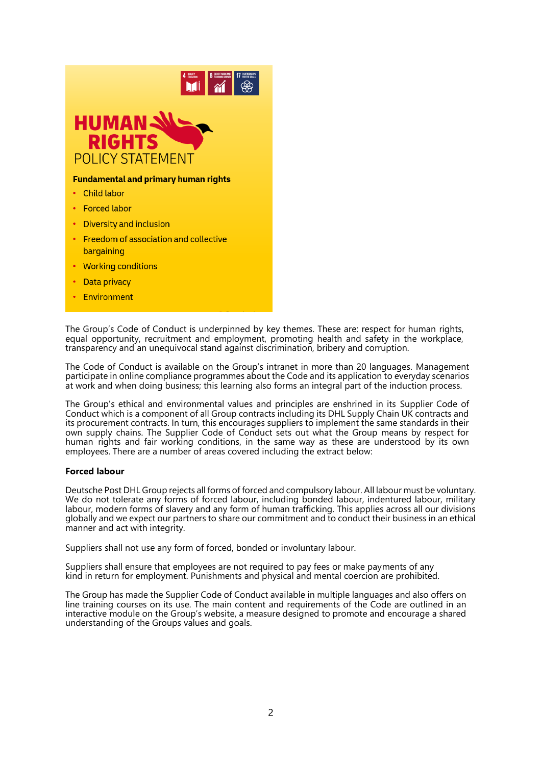

- Working conditions
- Data privacy
- Environment

The Group's Code of Conduct is underpinned by key themes. These are: respect for human rights, equal opportunity, recruitment and employment, promoting health and safety in the workplace, transparency and an unequivocal stand against discrimination, bribery and corruption.

The Code of Conduct is available on the Group's intranet in more than 20 languages. Management participate in online compliance programmes about the Code and its application to everyday scenarios at work and when doing business; this learning also forms an integral part of the induction process.

The Group's ethical and environmental values and principles are enshrined in its [Supplier Code of](https://www.dpdhl.com/content/dam/dpdhl/en/media-center/responsibility/DPDHL_Supplier_Code_of_Conduct.pdf) [Conduct w](https://www.dpdhl.com/content/dam/dpdhl/en/media-center/responsibility/DPDHL_Supplier_Code_of_Conduct.pdf)hich is a component of all Group contracts including its DHL Supply Chain UK contracts and its procurement contracts. In turn, this encourages suppliers to implement the same standards in their own supply chains. The Supplier Code of Conduct sets out what the Group means by respect for human rights and fair working conditions, in the same way as these are understood by its own employees. There are a number of areas covered including the extract below:

#### **Forced labour**

Deutsche Post DHL Group rejects all forms of forced and compulsory labour. All labour must be voluntary. We do not tolerate any forms of forced labour, including bonded labour, indentured labour, military labour, modern forms of slavery and any form of human trafficking. This applies across all our divisions globally and we expect our partners to share our commitment and to conduct their business in an ethical manner and act with integrity.

Suppliers shall not use any form of forced, bonded or involuntary labour.

Suppliers shall ensure that employees are not required to pay fees or make payments of any kind in return for employment. Punishments and physical and mental coercion are prohibited.

The Group has made the Supplier Code of Conduct available in multiple languages and also offers on line training courses on its use. The main content and requirements of the Code are outlined in an interactive module on the Group's website, a measure designed to promote and encourage a shared understanding of the Groups values and goals.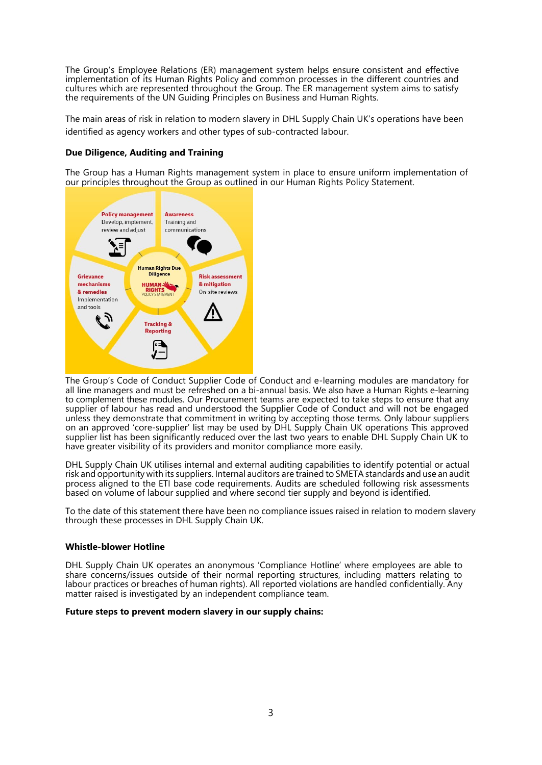The Group's Employee Relations (ER) management system helps ensure consistent and effective implementation of its Human Rights Policy and common processes in the different countries and cultures which are represented throughout the Group. The ER management system aims to satisfy the requirements of the UN Guiding Principles on Business and Human Rights.

The main areas of risk in relation to modern slavery in DHL Supply Chain UK's operations have been identified as agency workers and other types of sub-contracted labour.

## **Due Diligence, Auditing and Training**

The Group has a Human Rights management system in place to ensure uniform implementation of our principles throughout the Group as outlined in our Human Rights Policy Statement.



The Group's Code of Conduct Supplier Code of Conduct and e-learning modules are mandatory for all line managers and must be refreshed on a bi-annual basis. We also have a Human Rights e-learning to complement these modules. Our Procurement teams are expected to take steps to ensure that any supplier of labour has read and understood the Supplier Code of Conduct and will not be engaged unless they demonstrate that commitment in writing by accepting those terms. Only labour suppliers on an approved 'core-supplier' list may be used by DHL Supply Chain UK operations This approved supplier list has been significantly reduced over the last two years to enable DHL Supply Chain UK to have greater visibility of its providers and monitor compliance more easily.

DHL Supply Chain UK utilises internal and external auditing capabilities to identify potential or actual risk and opportunity with its suppliers. Internal auditors are trained to SMETA standards and use an audit process aligned to the ETI base code requirements. Audits are scheduled following risk assessments based on volume of labour supplied and where second tier supply and beyond is identified.

To the date of this statement there have been no compliance issues raised in relation to modern slavery through these processes in DHL Supply Chain UK.

#### **Whistle-blower Hotline**

DHL Supply Chain UK operates an anonymous 'Compliance Hotline' where employees are able to share concerns/issues outside of their normal reporting structures, including matters relating to labour practices or breaches of human rights). All reported violations are handled confidentially. Any matter raised is investigated by an independent compliance team.

#### **Future steps to prevent modern slavery in our supply chains:**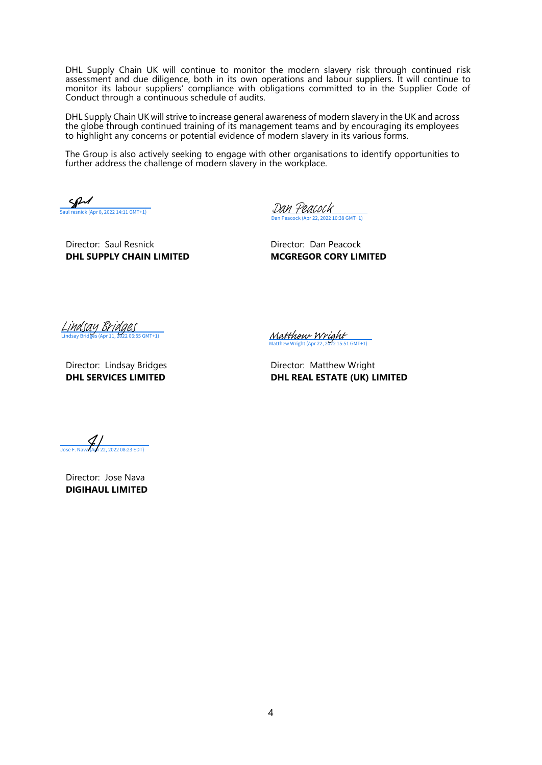DHL Supply Chain UK will continue to monitor the modern slavery risk through continued risk assessment and due diligence, both in its own operations and labour suppliers. It will continue to monitor its labour suppliers' compliance with obligations committed to in the Supplier Code of Conduct through a continuous schedule of audits.

DHL Supply Chain UK will strive to increase general awareness of modern slavery in the UK and across the globe through continued training of its management teams and by encouraging its employees to highlight any concerns or potential evidence of modern slavery in its various forms.

The Group is also actively seeking to engage with other organisations to identify opportunities to further address the challenge of modern slavery in the workplace.

SP  $8, 2022$  14:11 GMT+1)

Dan Peacock (Apr 22, 2022 10:38 GMT+1) [Dan Peacock](https://salesforceintegration.eu1.echosign.com/verifier?tx=CBJCHBCAABAA19Au6OebXOxiQAlvPk0mLpbm31ANNVie)

Director: Saul Resnick Director: Dan Peacock **DHL SUPPLY CHAIN LIMITED MCGREGOR CORY LIMITED**

Lindsay Bridges (Apr 11, 2022 06:55 GMT+1) [Lindsay Bridges](https://salesforceintegration.eu1.echosign.com/verifier?tx=CBJCHBCAABAAKOHxF1GwNFsBTU6yh9Q_g-nxuuegURjC)

Matthew Wright (Apr 22, 2022 15:51 GMT+1)<br>
Director: Lindsay Bridges<br>
Director: Matthew Wright (Apr 22, 2022 15:51 GMT+1)<br>
DIRECTORE CONTINUES<br>
DIRECTORE CONTINUES<br>
Jose F. Nava (Ayr 22, 2022 08:23 EDT)

[Matthew Wright](https://salesforceintegration.eu1.echosign.com/verifier?tx=CBJCHBCAABAA19Au6OebXOxiQAlvPk0mLpbm31ANNVie)

Director: Lindsay Bridges **Director: Matthew Wright DHL SERVICES LIMITED DHL REAL ESTATE (UK) LIMITED**

Director: Jose Nava **DIGIHAUL LIMITED**